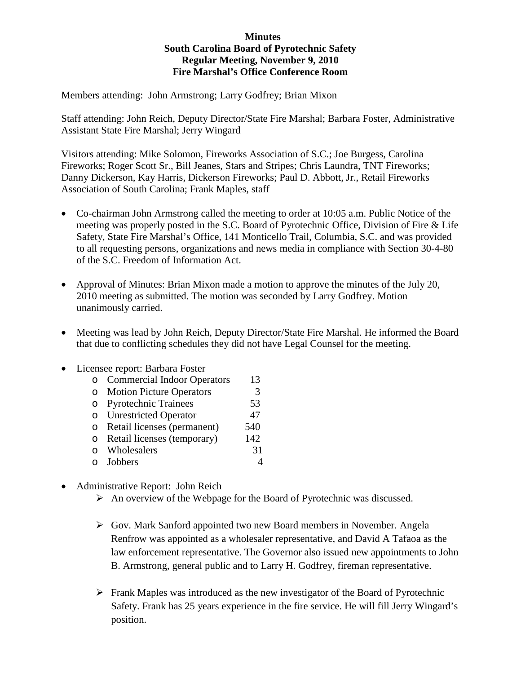## **Minutes South Carolina Board of Pyrotechnic Safety Regular Meeting, November 9, 2010 Fire Marshal's Office Conference Room**

Members attending: John Armstrong; Larry Godfrey; Brian Mixon

Staff attending: John Reich, Deputy Director/State Fire Marshal; Barbara Foster, Administrative Assistant State Fire Marshal; Jerry Wingard

Visitors attending: Mike Solomon, Fireworks Association of S.C.; Joe Burgess, Carolina Fireworks; Roger Scott Sr., Bill Jeanes, Stars and Stripes; Chris Laundra, TNT Fireworks; Danny Dickerson, Kay Harris, Dickerson Fireworks; Paul D. Abbott, Jr., Retail Fireworks Association of South Carolina; Frank Maples, staff

- Co-chairman John Armstrong called the meeting to order at 10:05 a.m. Public Notice of the meeting was properly posted in the S.C. Board of Pyrotechnic Office, Division of Fire & Life Safety, State Fire Marshal's Office, 141 Monticello Trail, Columbia, S.C. and was provided to all requesting persons, organizations and news media in compliance with Section 30-4-80 of the S.C. Freedom of Information Act.
- Approval of Minutes: Brian Mixon made a motion to approve the minutes of the July 20, 2010 meeting as submitted. The motion was seconded by Larry Godfrey. Motion unanimously carried.
- Meeting was lead by John Reich, Deputy Director/State Fire Marshal. He informed the Board that due to conflicting schedules they did not have Legal Counsel for the meeting.

## • Licensee report: Barbara Foster

| cusee report. Darbara i oster |                                    |     |
|-------------------------------|------------------------------------|-----|
| $\Omega$                      | <b>Commercial Indoor Operators</b> | 13  |
| $\circ$                       | <b>Motion Picture Operators</b>    | 3   |
| $\circ$                       | <b>Pyrotechnic Trainees</b>        | 53  |
| $\circ$                       | <b>Unrestricted Operator</b>       | 47  |
| $\circ$                       | Retail licenses (permanent)        | 540 |
| $\circ$                       | Retail licenses (temporary)        | 142 |
|                               | o Wholesalers                      | 31  |
|                               | Jobbers                            |     |

- Administrative Report: John Reich
	- $\triangleright$  An overview of the Webpage for the Board of Pyrotechnic was discussed.
	- $\triangleright$  Gov. Mark Sanford appointed two new Board members in November. Angela Renfrow was appointed as a wholesaler representative, and David A Tafaoa as the law enforcement representative. The Governor also issued new appointments to John B. Armstrong, general public and to Larry H. Godfrey, fireman representative.
	- $\triangleright$  Frank Maples was introduced as the new investigator of the Board of Pyrotechnic Safety. Frank has 25 years experience in the fire service. He will fill Jerry Wingard's position.